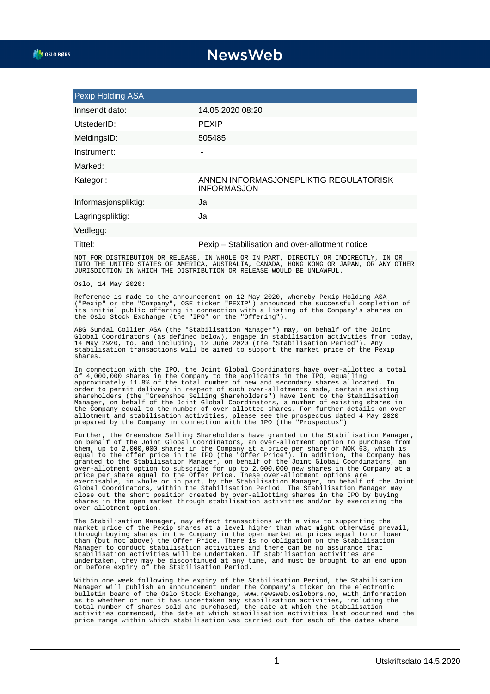## **NewsWeb**

| <b>Pexip Holding ASA</b> |                                                              |
|--------------------------|--------------------------------------------------------------|
| Innsendt dato:           | 14.05.2020 08:20                                             |
| UtstederID:              | <b>PEXIP</b>                                                 |
| MeldingsID:              | 505485                                                       |
| Instrument:              | ٠                                                            |
| Marked:                  |                                                              |
| Kategori:                | ANNEN INFORMASJONSPLIKTIG REGULATORISK<br><b>INFORMASJON</b> |
| Informasjonspliktig:     | Ja                                                           |
| Lagringspliktig:         | Ja                                                           |
| Vedlegg:                 |                                                              |
| Tittel:                  | Pexip – Stabilisation and over-allotment notice              |

NOT FOR DISTRIBUTION OR RELEASE, IN WHOLE OR IN PART, DIRECTLY OR INDIRECTLY, IN OR INTO THE UNITED STATES OF AMERICA, AUSTRALIA, CANADA, HONG KONG OR JAPAN, OR ANY OTHER JURISDICTION IN WHICH THE DISTRIBUTION OR RELEASE WOULD BE UNLAWFUL.

Oslo, 14 May 2020:

Reference is made to the announcement on 12 May 2020, whereby Pexip Holding ASA ("Pexip" or the "Company", OSE ticker "PEXIP") announced the successful completion of its initial public offering in connection with a listing of the Company's shares on the Oslo Stock Exchange (the "IPO" or the "Offering").

ABG Sundal Collier ASA (the "Stabilisation Manager") may, on behalf of the Joint Global Coordinators (as defined below), engage in stabilisation activities from today, 14 May 2920, to, and including, 12 June 2020 (the "Stabilisation Period"). Any stabilisation transactions will be aimed to support the market price of the Pexip shares.

In connection with the IPO, the Joint Global Coordinators have over-allotted a total of 4,000,000 shares in the Company to the applicants in the IPO, equalling approximately 11.8% of the total number of new and secondary shares allocated. In order to permit delivery in respect of such over-allotments made, certain existing shareholders (the "Greenshoe Selling Shareholders") have lent to the Stabilisation Manager, on behalf of the Joint Global Coordinators, a number of existing shares in the Company equal to the number of over-allotted shares. For further details on overallotment and stabilisation activities, please see the prospectus dated 4 May 2020 prepared by the Company in connection with the IPO (the "Prospectus").

Further, the Greenshoe Selling Shareholders have granted to the Stabilisation Manager, on behalf of the Joint Global Coordinators, an over-allotment option to purchase from them, up to 2,000,000 shares in the Company at a price per share of NOK 63, which is equal to the offer price in the IPO (the "Offer Price"). In addition, the Company has<br>granted to the Stabilisation Manager, on behalf of the Joint Global Coordinators, an granted to the Stabilisation Manager, on behalf of the Joint Global Coordinators, over-allotment option to subscribe for up to 2,000,000 new shares in the Company at a price per share equal to the Offer Price. These over-allotment options are exercisable, in whole or in part, by the Stabilisation Manager, on behalf of the Joint Global Coordinators, within the Stabilisation Period. The Stabilisation Manager may close out the short position created by over-allotting shares in the IPO by buying shares in the open market through stabilisation activities and/or by exercising the over-allotment option.

The Stabilisation Manager, may effect transactions with a view to supporting the market price of the Pexip shares at a level higher than what might otherwise prevail, through buying shares in the Company in the open market at prices equal to or lower than (but not above) the Offer Price. There is no obligation on the Stabilisation Manager to conduct stabilisation activities and there can be no assurance that stabilisation activities will be undertaken. If stabilisation activities are undertaken, they may be discontinued at any time, and must be brought to an end upon or before expiry of the Stabilisation Period.

Within one week following the expiry of the Stabilisation Period, the Stabilisation Manager will publish an announcement under the Company's ticker on the electronic bulletin board of the Oslo Stock Exchange, www.newsweb.oslobors.no, with information as to whether or not it has undertaken any stabilisation activities, including the total number of shares sold and purchased, the date at which the stabilisation activities commenced, the date at which stabilisation activities last occurred and the price range within which stabilisation was carried out for each of the dates where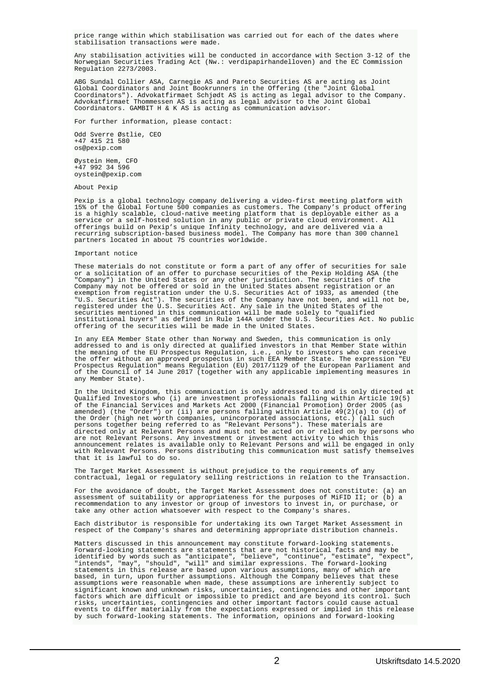price range within which stabilisation was carried out for each of the dates where stabilisation transactions were made.

Any stabilisation activities will be conducted in accordance with Section 3-12 of the Norwegian Securities Trading Act (Nw.: verdipapirhandelloven) and the EC Commission Regulation 2273/2003.

ABG Sundal Collier ASA, Carnegie AS and Pareto Securities AS are acting as Joint Global Coordinators and Joint Bookrunners in the Offering (the "Joint Global Coordinators"). Advokatfirmaet Schjødt AS is acting as legal advisor to the Company. Advokatfirmaet Thommessen AS is acting as legal advisor to the Joint Global Coordinators. GAMBIT H & K AS is acting as communication advisor.

For further information, please contact:

Odd Sverre Østlie, CEO +47 415 21 580 os@pexip.com

Øystein Hem, CFO +47 992 34 596 oystein@pexip.com

About Pexip

Pexip is a global technology company delivering a video-first meeting platform with 15% of the Global Fortune 500 companies as customers. The Company's product offering is a highly scalable, cloud-native meeting platform that is deployable either as a service or a self-hosted solution in any public or private cloud environment. All offerings build on Pexip's unique Infinity technology, and are delivered via a recurring subscription-based business model. The Company has more than 300 channel partners located in about 75 countries worldwide.

## Important notice

These materials do not constitute or form a part of any offer of securities for sale or a solicitation of an offer to purchase securities of the Pexip Holding ASA (the "Company") in the United States or any other jurisdiction. The securities of the  $\hat{C}$  may not be offered or sold in the United States absent registration or an exemption from registration under the U.S. Securities Act of 1933, as amended (the "U.S. Securities Act"). The securities of the Company have not been, and will not be, registered under the U.S. Securities Act. Any sale in the United States of the securities mentioned in this communication will be made solely to "qualified institutional buyers" as defined in Rule 144A under the U.S. Securities Act. No public offering of the securities will be made in the United States.

In any EEA Member State other than Norway and Sweden, this communication is only addressed to and is only directed at qualified investors in that Member State within the meaning of the EU Prospectus Regulation, i.e., only to investors who can receive the offer without an approved prospectus in such EEA Member State. The expression "EU Prospectus Regulation" means Regulation (EU) 2017/1129 of the European Parliament and of the Council of 14 June 2017 (together with any applicable implementing measures in any Member State).

In the United Kingdom, this communication is only addressed to and is only directed at Qualified Investors who (i) are investment professionals falling within Article 19(5) of the Financial Services and Markets Act 2000 (Financial Promotion) Order 2005 (as amended) (the "Order") or (ii) are persons falling within Article 49(2)(a) to (d) of the Order (high net worth companies, unincorporated associations, etc.) (all such persons together being referred to as "Relevant Persons"). These materials are directed only at Relevant Persons and must not be acted on or relied on by persons who are not Relevant Persons. Any investment or investment activity to which this announcement relates is available only to Relevant Persons and will be engaged in only with Relevant Persons. Persons distributing this communication must satisfy themselves that it is lawful to do so.

The Target Market Assessment is without prejudice to the requirements of any contractual, legal or regulatory selling restrictions in relation to the Transaction.

For the avoidance of doubt, the Target Market Assessment does not constitute: (a) an assessment of suitability or appropriateness for the purposes of MiFID II; or (b) a recommendation to any investor or group of investors to invest in, or purchase, or take any other action whatsoever with respect to the Company's shares.

Each distributor is responsible for undertaking its own Target Market Assessment in respect of the Company's shares and determining appropriate distribution channels.

Matters discussed in this announcement may constitute forward-looking statements. Forward-looking statements are statements that are not historical facts and may be identified by words such as "anticipate", "believe", "continue", "estimate", "expect", "intends", "may", "should", "will" and similar expressions. The forward-looking statements in this release are based upon various assumptions, many of which are based, in turn, upon further assumptions. Although the Company believes that these assumptions were reasonable when made, these assumptions are inherently subject to significant known and unknown risks, uncertainties, contingencies and other important factors which are difficult or impossible to predict and are beyond its control. Such risks, uncertainties, contingencies and other important factors could cause actual events to differ materially from the expectations expressed or implied in this release by such forward-looking statements. The information, opinions and forward-looking